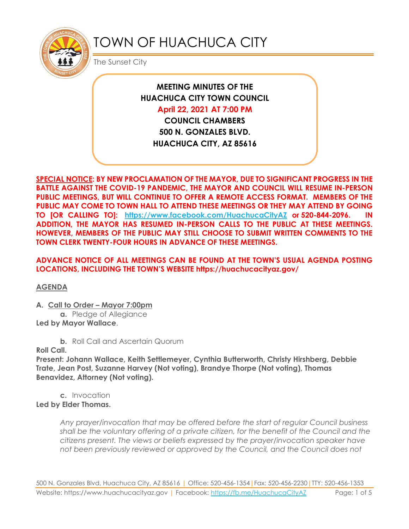

# TOWN OF HUACHUCA CITY

The Sunset City

**MEETING MINUTES OF THE HUACHUCA CITY TOWN COUNCIL April 22, 2021 AT 7:00 PM**

**COUNCIL CHAMBERS 500 N. GONZALES BLVD. HUACHUCA CITY, AZ 85616**

**SPECIAL NOTICE: BY NEW PROCLAMATION OF THE MAYOR, DUE TO SIGNIFICANT PROGRESS IN THE BATTLE AGAINST THE COVID-19 PANDEMIC, THE MAYOR AND COUNCIL WILL RESUME IN-PERSON PUBLIC MEETINGS, BUT WILL CONTINUE TO OFFER A REMOTE ACCESS FORMAT. MEMBERS OF THE PUBLIC MAY COME TO TOWN HALL TO ATTEND THESE MEETINGS OR THEY MAY ATTEND BY GOING TO [OR CALLING TO]: <https://www.facebook.com/HuachucaCityAZ> or 520-844-2096. IN ADDITION, THE MAYOR HAS RESUMED IN-PERSON CALLS TO THE PUBLIC AT THESE MEETINGS. HOWEVER, MEMBERS OF THE PUBLIC MAY STILL CHOOSE TO SUBMIT WRITTEN COMMENTS TO THE TOWN CLERK TWENTY-FOUR HOURS IN ADVANCE OF THESE MEETINGS.** 

**ADVANCE NOTICE OF ALL MEETINGS CAN BE FOUND AT THE TOWN'S USUAL AGENDA POSTING LOCATIONS, INCLUDING THE TOWN'S WEBSITE https://huachucacityaz.gov/**

**AGENDA**

**A. Call to Order – Mayor 7:00pm**

**a.** Pledge of Allegiance **Led by Mayor Wallace**.

**b.** Roll Call and Ascertain Quorum

**Roll Call.**

**Present: Johann Wallace, Keith Settlemeyer, Cynthia Butterworth, Christy Hirshberg, Debbie Trate, Jean Post, Suzanne Harvey (Not voting), Brandye Thorpe (Not voting), Thomas Benavidez, Attorney (Not voting).**

**c.** Invocation **Led by Elder Thomas.**

> *Any prayer/invocation that may be offered before the start of regular Council business shall be the voluntary offering of a private citizen, for the benefit of the Council and the citizens present. The views or beliefs expressed by the prayer/invocation speaker have not been previously reviewed or approved by the Council, and the Council does not*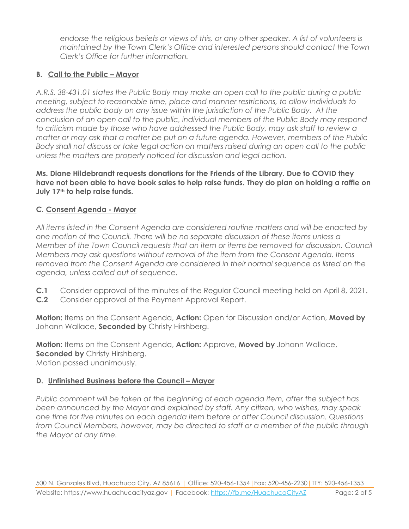*endorse the religious beliefs or views of this, or any other speaker. A list of volunteers is maintained by the Town Clerk's Office and interested persons should contact the Town Clerk's Office for further information.*

# **B. Call to the Public – Mayor**

*A.R.S. 38-431.01 states the Public Body may make an open call to the public during a public meeting, subject to reasonable time, place and manner restrictions, to allow individuals to address the public body on any issue within the jurisdiction of the Public Body. At the conclusion of an open call to the public, individual members of the Public Body may respond to criticism made by those who have addressed the Public Body, may ask staff to review a matter or may ask that a matter be put on a future agenda. However, members of the Public Body shall not discuss or take legal action on matters raised during an open call to the public unless the matters are properly noticed for discussion and legal action.*

**Ms. Diane Hildebrandt requests donations for the Friends of the Library. Due to COVID they have not been able to have book sales to help raise funds. They do plan on holding a raffle on July 17th to help raise funds.**

# **C***.* **Consent Agenda - Mayor**

*All items listed in the Consent Agenda are considered routine matters and will be enacted by one motion of the Council. There will be no separate discussion of these items unless a Member of the Town Council requests that an item or items be removed for discussion. Council Members may ask questions without removal of the item from the Consent Agenda. Items removed from the Consent Agenda are considered in their normal sequence as listed on the agenda, unless called out of sequence.*

- **C.1** Consider approval of the minutes of the Regular Council meeting held on April 8, 2021.
- **C.2** Consider approval of the Payment Approval Report.

**Motion:** Items on the Consent Agenda, **Action:** Open for Discussion and/or Action, **Moved by** Johann Wallace, **Seconded by** Christy Hirshberg.

**Motion:** Items on the Consent Agenda, **Action:** Approve, **Moved by** Johann Wallace, **Seconded by Christy Hirshberg.** Motion passed unanimously.

# **D. Unfinished Business before the Council – Mayor**

*Public comment will be taken at the beginning of each agenda item, after the subject has been announced by the Mayor and explained by staff. Any citizen, who wishes, may speak one time for five minutes on each agenda item before or after Council discussion. Questions from Council Members, however, may be directed to staff or a member of the public through the Mayor at any time.*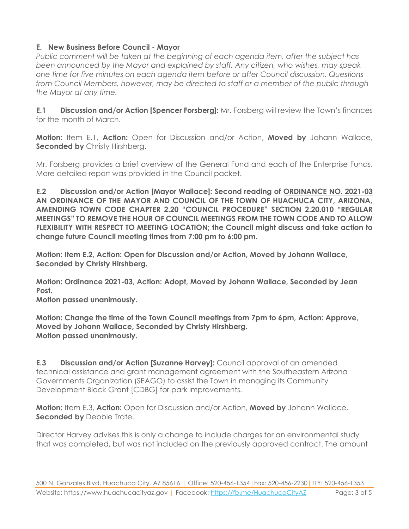## **E. New Business Before Council - Mayor**

*Public comment will be taken at the beginning of each agenda item, after the subject has been announced by the Mayor and explained by staff. Any citizen, who wishes, may speak one time for five minutes on each agenda item before or after Council discussion. Questions from Council Members, however, may be directed to staff or a member of the public through the Mayor at any time.*

**E.1 Discussion and/or Action [Spencer Forsberg]:** Mr. Forsberg will review the Town's finances for the month of March.

**Motion:** Item E.1, **Action:** Open for Discussion and/or Action, **Moved by** Johann Wallace, **Seconded by Christy Hirshberg.** 

Mr. Forsberg provides a brief overview of the General Fund and each of the Enterprise Funds. More detailed report was provided in the Council packet.

**E.2 Discussion and/or Action [Mayor Wallace]: Second reading of ORDINANCE NO. 2021-03 AN ORDINANCE OF THE MAYOR AND COUNCIL OF THE TOWN OF HUACHUCA CITY, ARIZONA, AMENDING TOWN CODE CHAPTER 2.20 "COUNCIL PROCEDURE" SECTION 2.20.010 "REGULAR MEETINGS" TO REMOVE THE HOUR OF COUNCIL MEETINGS FROM THE TOWN CODE AND TO ALLOW FLEXIBILITY WITH RESPECT TO MEETING LOCATION; the Council might discuss and take action to change future Council meeting times from 7:00 pm to 6:00 pm.** 

**Motion: Item E.2, Action: Open for Discussion and/or Action, Moved by Johann Wallace, Seconded by Christy Hirshberg.**

**Motion: Ordinance 2021-03, Action: Adopt, Moved by Johann Wallace, Seconded by Jean Post.**

**Motion passed unanimously.**

**Motion: Change the time of the Town Council meetings from 7pm to 6pm, Action: Approve, Moved by Johann Wallace, Seconded by Christy Hirshberg. Motion passed unanimously.**

**E.3 Discussion and/or Action [Suzanne Harvey]:** Council approval of an amended technical assistance and grant management agreement with the Southeastern Arizona Governments Organization (SEAGO) to assist the Town in managing its Community Development Block Grant [CDBG] for park improvements.

**Motion:** Item E.3, **Action:** Open for Discussion and/or Action, **Moved by** Johann Wallace, **Seconded by** Debbie Trate.

Director Harvey advises this is only a change to include charges for an environmental study that was completed, but was not included on the previously approved contract. The amount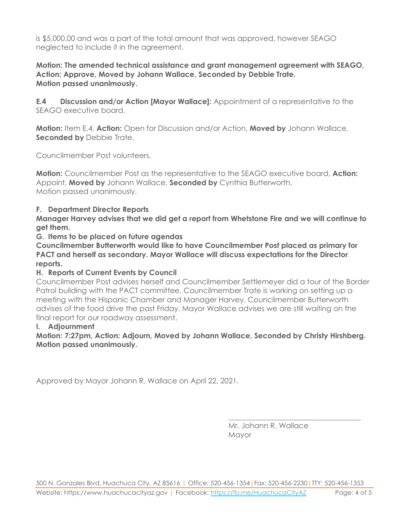is \$5,000.00 and was a part of the total amount that was approved, however SEAGO neglected to include it in the agreement.

**Motion: The amended technical assistance and grant management agreement with SEAGO, Action: Approve, Moved by Johann Wallace, Seconded by Debbie Trate. Motion passed unanimously.**

**E.4 Discussion and/or Action [Mayor Wallace]:** Appointment of a representative to the SEAGO executive board.

**Motion:** Item E.4, **Action:** Open for Discussion and/or Action, **Moved by** Johann Wallace, **Seconded by** Debbie Trate.

Councilmember Post volunteers.

**Motion:** Councilmember Post as the representative to the SEAGO executive board, **Action:** Appoint, **Moved by** Johann Wallace, **Seconded by** Cynthia Butterworth. Motion passed unanimously.

### **F. Department Director Reports**

**Manager Harvey advises that we did get a report from Whetstone Fire and we will continue to get them.**

**G. Items to be placed on future agendas**

**Councilmember Butterworth would like to have Councilmember Post placed as primary for PACT and herself as secondary. Mayor Wallace will discuss expectations for the Director reports.**

### **H. Reports of Current Events by Council**

Councilmember Post advises herself and Councilmember Settlemeyer did a tour of the Border Patrol building with the PACT committee. Councilmember Trate is working on setting up a meeting with the Hispanic Chamber and Manager Harvey. Councilmember Butterworth advises of the food drive the past Friday. Mayor Wallace advises we are still waiting on the final report for our roadway assessment.

### **I. Adjournment**

**Motion: 7:27pm, Action: Adjourn, Moved by Johann Wallace, Seconded by Christy Hirshberg. Motion passed unanimously.**

Approved by Mayor Johann R. Wallace on April 22, 2021.

Mr. Johann R. Wallace Mayor

\_\_\_\_\_\_\_\_\_\_\_\_\_\_\_\_\_\_\_\_\_\_\_\_\_\_\_\_\_\_\_\_\_\_\_\_